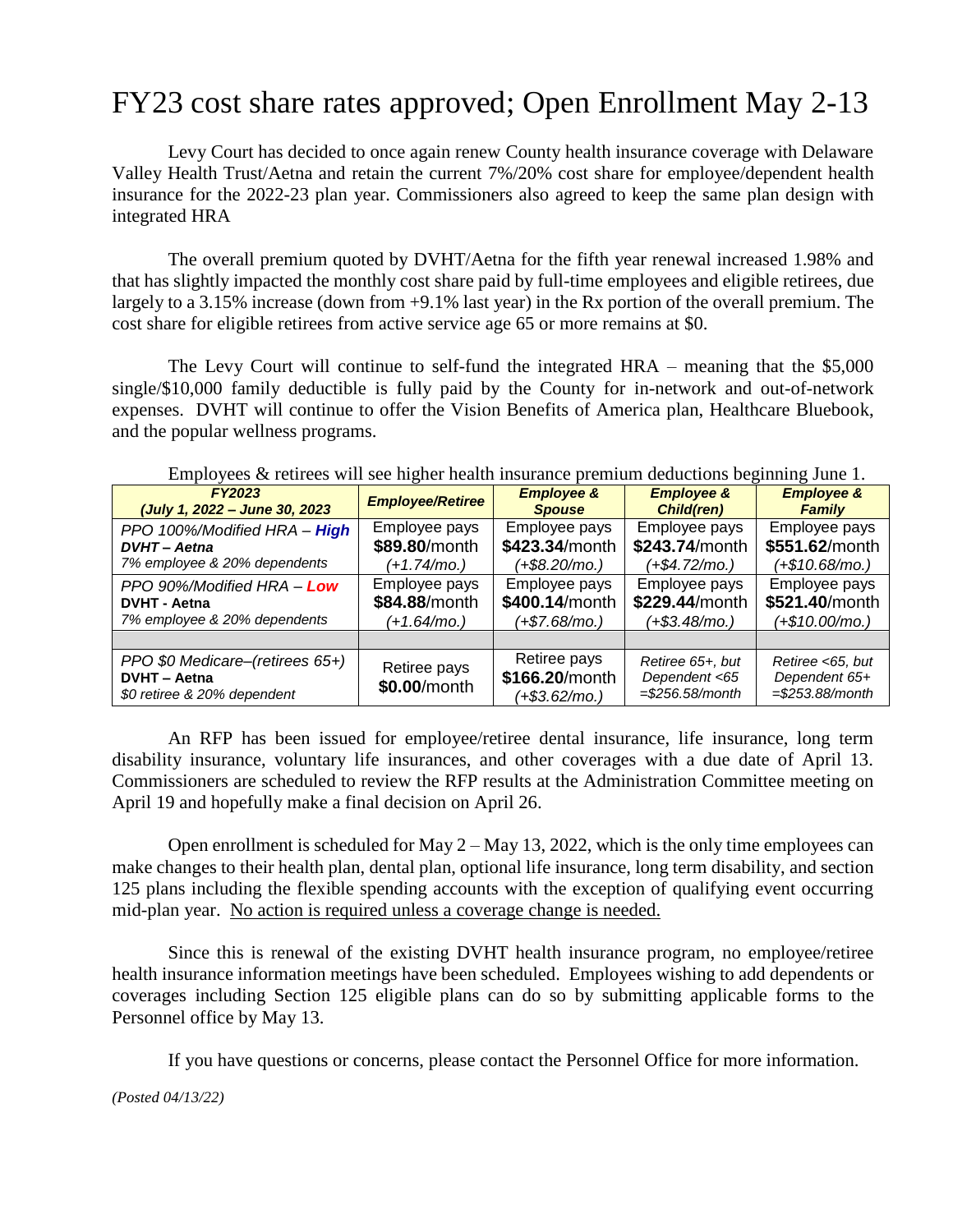## FY23 cost share rates approved; Open Enrollment May 2-13

Levy Court has decided to once again renew County health insurance coverage with Delaware Valley Health Trust/Aetna and retain the current 7%/20% cost share for employee/dependent health insurance for the 2022-23 plan year. Commissioners also agreed to keep the same plan design with integrated HRA

The overall premium quoted by DVHT/Aetna for the fifth year renewal increased 1.98% and that has slightly impacted the monthly cost share paid by full-time employees and eligible retirees, due largely to a 3.15% increase (down from +9.1% last year) in the Rx portion of the overall premium. The cost share for eligible retirees from active service age 65 or more remains at \$0.

The Levy Court will continue to self-fund the integrated HRA – meaning that the \$5,000 single/\$10,000 family deductible is fully paid by the County for in-network and out-of-network expenses. DVHT will continue to offer the Vision Benefits of America plan, Healthcare Bluebook, and the popular wellness programs.

| <b>FY2023</b>                                                                         | <b>Employee/Retiree</b>      | <b>Employee &amp;</b>                           | <b>Employee &amp;</b>                                  | <b>Employee &amp;</b>                                   |  |  |  |
|---------------------------------------------------------------------------------------|------------------------------|-------------------------------------------------|--------------------------------------------------------|---------------------------------------------------------|--|--|--|
| (July 1, 2022 - June 30, 2023                                                         |                              | <b>Spouse</b>                                   | <b>Child(ren)</b>                                      | <b>Family</b>                                           |  |  |  |
| PPO 100%/Modified HRA - High                                                          | Employee pays                | Employee pays                                   | Employee pays                                          | Employee pays                                           |  |  |  |
| <b>DVHT</b> - Aetna                                                                   | \$89.80/month                | \$423.34/month                                  | \$243.74/month                                         | \$551.62/month                                          |  |  |  |
| 7% employee & 20% dependents                                                          | (+1.74/mo.)                  | $(+\$8.20/mol)$                                 | $(+$4.72/mol)$                                         | $(+$10.68/mol)$                                         |  |  |  |
| PPO 90%/Modified HRA - Low                                                            | Employee pays                | Employee pays                                   | Employee pays                                          | Employee pays                                           |  |  |  |
| <b>DVHT - Aetna</b>                                                                   | \$84.88/month                | \$400.14/month                                  | \$229.44/month                                         | \$521.40/month                                          |  |  |  |
| 7% employee & 20% dependents                                                          | (+1.64/mo.)                  | $(+\$7.68/mol)$                                 | $(+$3.48/mol)$                                         | $(+$10.00/mol)$                                         |  |  |  |
|                                                                                       |                              |                                                 |                                                        |                                                         |  |  |  |
| PPO \$0 Medicare-(retirees 65+)<br><b>DVHT - Aetna</b><br>\$0 retiree & 20% dependent | Retiree pays<br>\$0.00/month | Retiree pays<br>\$166.20/month<br>(+\$3.62/mo.) | Retiree 65+, but<br>Dependent <65<br>$= $256.58/month$ | Retiree <65, but<br>Dependent 65+<br>$= $253.88/m$ onth |  |  |  |

Employees  $\&$  retirees will see higher health insurance premium deductions beginning June 1.

An RFP has been issued for employee/retiree dental insurance, life insurance, long term disability insurance, voluntary life insurances, and other coverages with a due date of April 13. Commissioners are scheduled to review the RFP results at the Administration Committee meeting on April 19 and hopefully make a final decision on April 26.

Open enrollment is scheduled for May  $2 -$  May 13, 2022, which is the only time employees can make changes to their health plan, dental plan, optional life insurance, long term disability, and section 125 plans including the flexible spending accounts with the exception of qualifying event occurring mid-plan year. No action is required unless a coverage change is needed.

Since this is renewal of the existing DVHT health insurance program, no employee/retiree health insurance information meetings have been scheduled. Employees wishing to add dependents or coverages including Section 125 eligible plans can do so by submitting applicable forms to the Personnel office by May 13.

If you have questions or concerns, please contact the Personnel Office for more information.

*(Posted 04/13/22)*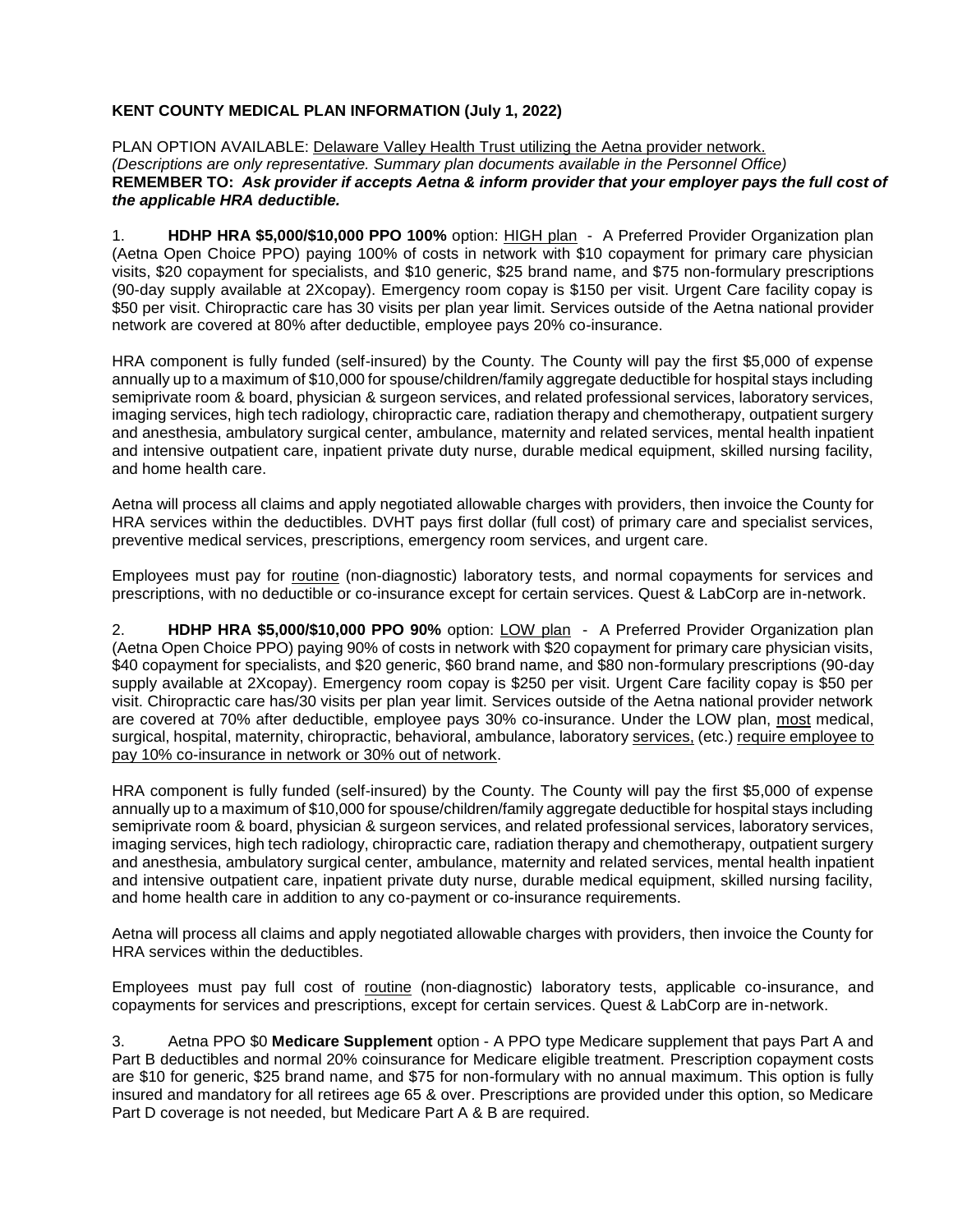## **KENT COUNTY MEDICAL PLAN INFORMATION (July 1, 2022)**

PLAN OPTION AVAILABLE: Delaware Valley Health Trust utilizing the Aetna provider network. *(Descriptions are only representative. Summary plan documents available in the Personnel Office)* **REMEMBER TO:** *Ask provider if accepts Aetna & inform provider that your employer pays the full cost of the applicable HRA deductible.*

1. **HDHP HRA \$5,000/\$10,000 PPO 100%** option: HIGH plan - A Preferred Provider Organization plan (Aetna Open Choice PPO) paying 100% of costs in network with \$10 copayment for primary care physician visits, \$20 copayment for specialists, and \$10 generic, \$25 brand name, and \$75 non-formulary prescriptions (90-day supply available at 2Xcopay). Emergency room copay is \$150 per visit. Urgent Care facility copay is \$50 per visit. Chiropractic care has 30 visits per plan year limit. Services outside of the Aetna national provider network are covered at 80% after deductible, employee pays 20% co-insurance.

HRA component is fully funded (self-insured) by the County. The County will pay the first \$5,000 of expense annually up to a maximum of \$10,000 for spouse/children/family aggregate deductible for hospital stays including semiprivate room & board, physician & surgeon services, and related professional services, laboratory services, imaging services, high tech radiology, chiropractic care, radiation therapy and chemotherapy, outpatient surgery and anesthesia, ambulatory surgical center, ambulance, maternity and related services, mental health inpatient and intensive outpatient care, inpatient private duty nurse, durable medical equipment, skilled nursing facility, and home health care.

Aetna will process all claims and apply negotiated allowable charges with providers, then invoice the County for HRA services within the deductibles. DVHT pays first dollar (full cost) of primary care and specialist services, preventive medical services, prescriptions, emergency room services, and urgent care.

Employees must pay for routine (non-diagnostic) laboratory tests, and normal copayments for services and prescriptions, with no deductible or co-insurance except for certain services. Quest & LabCorp are in-network.

2. **HDHP HRA \$5,000/\$10,000 PPO 90%** option: LOW plan - A Preferred Provider Organization plan (Aetna Open Choice PPO) paying 90% of costs in network with \$20 copayment for primary care physician visits, \$40 copayment for specialists, and \$20 generic, \$60 brand name, and \$80 non-formulary prescriptions (90-day supply available at 2Xcopay). Emergency room copay is \$250 per visit. Urgent Care facility copay is \$50 per visit. Chiropractic care has/30 visits per plan year limit. Services outside of the Aetna national provider network are covered at 70% after deductible, employee pays 30% co-insurance. Under the LOW plan, most medical, surgical, hospital, maternity, chiropractic, behavioral, ambulance, laboratory services, (etc.) require employee to pay 10% co-insurance in network or 30% out of network.

HRA component is fully funded (self-insured) by the County. The County will pay the first \$5,000 of expense annually up to a maximum of \$10,000 for spouse/children/family aggregate deductible for hospital stays including semiprivate room & board, physician & surgeon services, and related professional services, laboratory services, imaging services, high tech radiology, chiropractic care, radiation therapy and chemotherapy, outpatient surgery and anesthesia, ambulatory surgical center, ambulance, maternity and related services, mental health inpatient and intensive outpatient care, inpatient private duty nurse, durable medical equipment, skilled nursing facility, and home health care in addition to any co-payment or co-insurance requirements.

Aetna will process all claims and apply negotiated allowable charges with providers, then invoice the County for HRA services within the deductibles.

Employees must pay full cost of routine (non-diagnostic) laboratory tests, applicable co-insurance, and copayments for services and prescriptions, except for certain services. Quest & LabCorp are in-network.

3. Aetna PPO \$0 **Medicare Supplement** option - A PPO type Medicare supplement that pays Part A and Part B deductibles and normal 20% coinsurance for Medicare eligible treatment. Prescription copayment costs are \$10 for generic, \$25 brand name, and \$75 for non-formulary with no annual maximum. This option is fully insured and mandatory for all retirees age 65 & over. Prescriptions are provided under this option, so Medicare Part D coverage is not needed, but Medicare Part A & B are required.